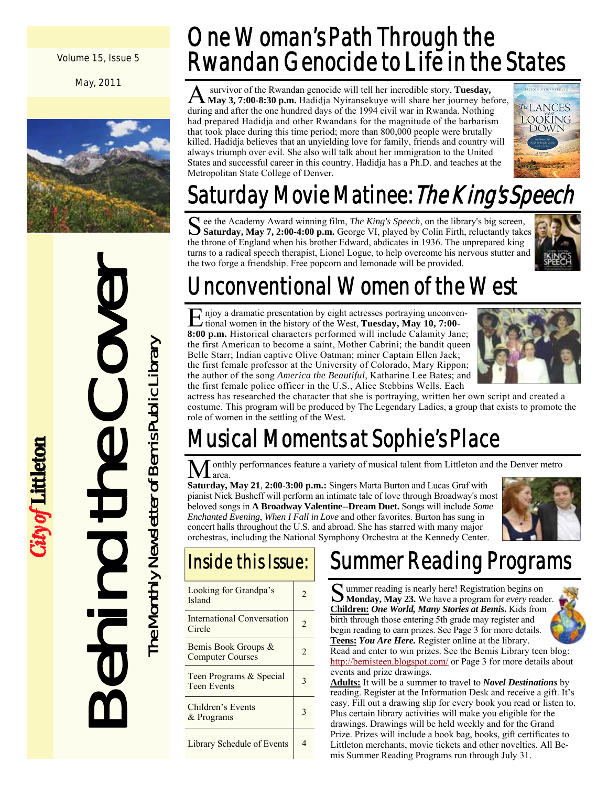Volume 15, Issue 5

May, 2011



Behind the Cover The Monthly Newsletter of Bemis Public Library

City of Littleton

The Monthly Newsletter of Bemis Public Library

### One Woman's Path Through the Rwandan Genocide to Life in the States

A survivor of the Rwandan genocide will tell her incredible story, **Tuesday, May 3, 7:00-8:30 p.m.** Hadidja Nyiransekuye will share her journey before, during and after the one hundred days of the 1994 civil war in Rwanda. Nothing had prepared Hadidja and other Rwandans for the magnitude of the barbarism that took place during this time period; more than 800,000 people were brutally killed. Hadidja believes that an unyielding love for family, friends and country will always triumph over evil. She also will talk about her immigration to the United States and successful career in this country. Hadidja has a Ph.D. and teaches at the Metropolitan State College of Denver.



## Saturday Movie Matinee: *The King's Speech*

See the Academy Award winning film, *The King's Speech*, on the library's big screen, **Saturday, May 7, 2:00-4:00 p.m.** George VI, played by Colin Firth, reluctantly takes the throne of England when his brother Edward, abdicates in 1936. The unprepared king turns to a radical speech therapist, Lionel Logue, to help overcome his nervous stutter and the two forge a friendship. Free popcorn and lemonade will be provided.



### Unconventional Women of the West

E njoy a dramatic presentation by eight actresses portraying unconven-<br>tional women in the history of the Wi tional women in the history of the West, **Tuesday, May 10, 7:00- 8:00 p.m.** Historical characters performed will include Calamity Jane; the first American to become a saint, Mother Cabrini; the bandit queen Belle Starr; Indian captive Olive Oatman; miner Captain Ellen Jack; the first female professor at the University of Colorado, Mary Rippon; the author of the song *America the Beautiful*, Katharine Lee Bates; and the first female police officer in the U.S., Alice Stebbins Wells. Each



actress has researched the character that she is portraying, written her own script and created a costume. This program will be produced by The Legendary Ladies, a group that exists to promote the role of women in the settling of the West.

### Musical Moments at Sophie's Place

onthly performances feature a variety of musical talent from Littleton and the Denver metro area.

**Saturday, May 21**, **2:00-3:00 p.m.:** Singers Marta Burton and Lucas Graf with pianist Nick Busheff will perform an intimate tale of love through Broadway's most beloved songs in **A Broadway Valentine--Dream Duet.** Songs will include *Some Enchanted Evening*, *When I Fall in Love* and other favorites. Burton has sung in concert halls throughout the U.S. and abroad. She has starred with many major orchestras, including the National Symphony Orchestra at the Kennedy Center.



### Inside this Issue:

| Looking for Grandpa's<br>Island                | 2              |
|------------------------------------------------|----------------|
| <b>International Conversation</b><br>Circle    |                |
| Bemis Book Groups &<br><b>Computer Courses</b> | $\mathfrak{D}$ |
| Teen Programs & Special<br><b>Teen Events</b>  |                |
| Children's Events<br>& Programs                |                |
| <b>Library Schedule of Events</b>              |                |

### Summer Reading Programs

S ummer reading is nearly here! Registration begins on **Monday, May 23.** We have a program for *every* reader. **Children:** *One World, Many Stories at Bemis***.** Kids from birth through those entering 5th grade may register and begin reading to earn prizes. See Page 3 for more details. **Teens:** *You Are Here.* Register online at the library.

Read and enter to win prizes. See the Bemis Library teen blog: http://bemisteen.blogspot.com/ or Page 3 for more details about events and prize drawings.

**Adults:** It will be a summer to travel to *Novel Destinations* by reading. Register at the Information Desk and receive a gift. It's easy. Fill out a drawing slip for every book you read or listen to. Plus certain library activities will make you eligible for the drawings. Drawings will be held weekly and for the Grand Prize. Prizes will include a book bag, books, gift certificates to Littleton merchants, movie tickets and other novelties. All Bemis Summer Reading Programs run through July 31.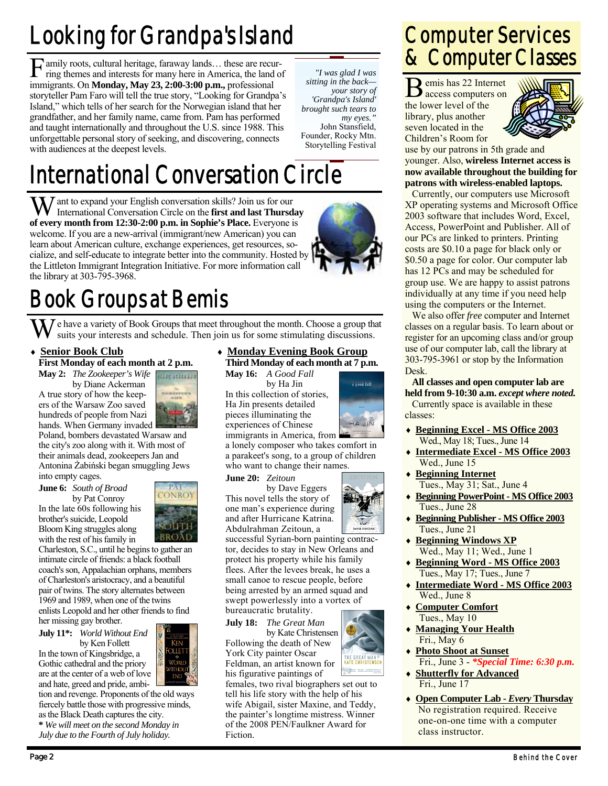## Looking for Grandpa's Island

F amily roots, cultural heritage, faraway lands… these are recur-ring themes and interests for many here in America, the land of immigrants. On **Monday, May 23, 2:00-3:00 p.m.,** professional storyteller Pam Faro will tell the true story, "Looking for Grandpa's Island," which tells of her search for the Norwegian island that her grandfather, and her family name, came from. Pam has performed and taught internationally and throughout the U.S. since 1988. This unforgettable personal story of seeking, and discovering, connects with audiences at the deepest levels.

International Conversation Circle

W ant to expand your English conversation skills? Join us for our International Conversation Circle on the **first and last Thursday of every month from 12:30-2:00 p.m. in Sophie's Place.** Everyone is welcome. If you are a new-arrival (immigrant/new American) you can learn about American culture, exchange experiences, get resources, socialize, and self-educate to integrate better into the community. Hosted by the Littleton Immigrant Integration Initiative. For more information call the library at 303-795-3968.

*"I was glad I was sitting in the back your story of 'Grandpa's Island' brought such tears to my eyes."*  John Stansfield, Founder, Rocky Mtn. Storytelling Festival

### Book Groups at Bemis

**T** e have a variety of Book Groups that meet throughout the month. Choose a group that suits your interests and schedule. Then join us for some stimulating discussions.

### **Senior Book Club**

### **First Monday of each month at 2 p.m. May 2:** *The Zookeeper's Wife*

 by Diane Ackerman A true story of how the keepers of the Warsaw Zoo saved hundreds of people from Nazi hands. When Germany invaded



Poland, bombers devastated Warsaw and the city's zoo along with it. With most of their animals dead, zookeepers Jan and Antonina Żabiński began smuggling Jews

into empty cages.

brother's suicide, Leopold Bloom King struggles along with the rest of his family in



**June 6:** *South of Broad* by Pat Conroy In the late 60s following his

Charleston, S.C., until he begins to gather an intimate circle of friends: a black football coach's son, Appalachian orphans, members of Charleston's aristocracy, and a beautiful pair of twins. The story alternates between 1969 and 1989, when one of the twins enlists Leopold and her other friends to find her missing gay brother.

**July 11\*:** *World Without End*  by Ken Follett

In the town of Kingsbridge, a Gothic cathedral and the priory are at the center of a web of love and hate, greed and pride, ambi-

tion and revenge. Proponents of the old ways fiercely battle those with progressive minds, as the Black Death captures the city.

**\*** *We will meet on the second Monday in July due to the Fourth of July holiday.* 

 **Monday Evening Book Group Third Monday of each month at 7 p.m.** 

**May 16:** *A Good Fall* by Ha Jin

In this collection of stories, Ha Jin presents detailed pieces illuminating the experiences of Chinese



a lonely composer who takes comfort in a parakeet's song, to a group of children who want to change their names.

**by Dave Eggers** This novel tells the story of one man's experience during and after Hurricane Katrina. Abdulrahman Zeitoun, a

successful Syrian-born painting contractor, decides to stay in New Orleans and protect his property while his family flees. After the levees break, he uses a small canoe to rescue people, before being arrested by an armed squad and swept powerlessly into a vortex of bureaucratic brutality.

**July 18:** *The Great Man*  by Kate Christensen Following the death of New

York City painter Oscar Feldman, an artist known for his figurative paintings of

females, two rival biographers set out to tell his life story with the help of his wife Abigail, sister Maxine, and Teddy, the painter's longtime mistress. Winner of the 2008 PEN/Faulkner Award for Fiction.

### Computer Services & Computer Classes

B emis has 22 Internet access computers on the lower level of the library, plus another seven located in the Children's Room for



use by our patrons in 5th grade and younger. Also, **wireless Internet access is now available throughout the building for patrons with wireless-enabled laptops.**

 Currently, our computers use Microsoft XP operating systems and Microsoft Office 2003 software that includes Word, Excel, Access, PowerPoint and Publisher. All of our PCs are linked to printers. Printing costs are \$0.10 a page for black only or \$0.50 a page for color. Our computer lab has 12 PCs and may be scheduled for group use. We are happy to assist patrons individually at any time if you need help using the computers or the Internet.

 We also offer *free* computer and Internet classes on a regular basis. To learn about or register for an upcoming class and/or group use of our computer lab, call the library at 303-795-3961 or stop by the Information Desk.

**All classes and open computer lab are held from 9-10:30 a.m.** *except where noted.* Currently space is available in these classes:

- **Beginning Excel MS Office 2003** Wed., May 18; Tues., June 14
- **Intermediate Excel MS Office 2003** Wed., June 15
- **Beginning Internet** Tues., May 31; Sat., June 4
- **Beginning PowerPoint MS Office 2003** Tues., June 28
- **Beginning Publisher MS Office 2003** Tues., June 21
- **Beginning Windows XP** Wed., May 11; Wed., June 1
- **Beginning Word MS Office 2003** Tues., May 17; Tues., June 7
- **Intermediate Word MS Office 2003** Wed., June 8
- **Computer Comfort** Tues., May 10
- **Managing Your Health** Fri., May 6
- **Photo Shoot at Sunset** Fri., June 3 - *\*Special Time: 6:30 p.m.*
- **Shutterfly for Advanced** Fri., June 17
- **Open Computer Lab** *Every* **Thursday** No registration required. Receive one-on-one time with a computer class instructor.

immigrants in America, from

# **June 20:** *Zeitoun*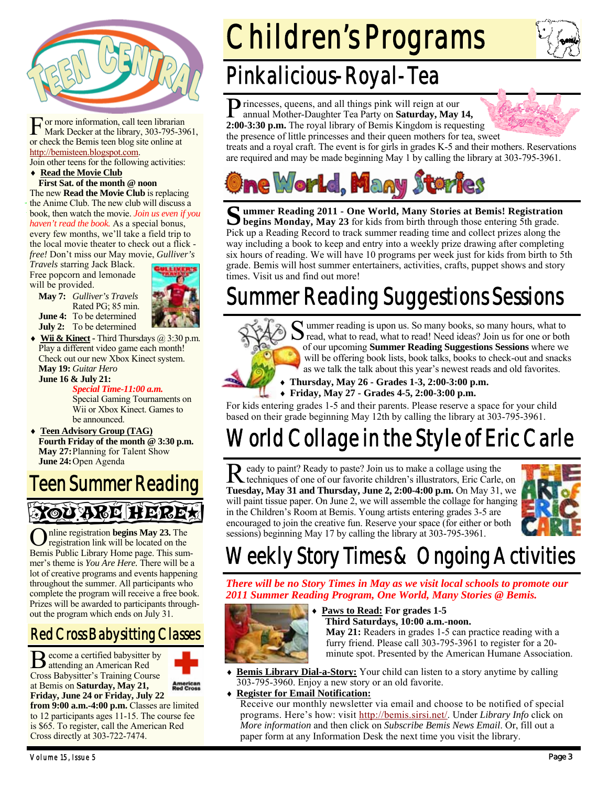

F or more information, call teen librarian Mark Decker at the library, 303-795-3961, or check the Bemis teen blog site online at http://bemisteen.blogspot.com.

Join other teens for the following activities:

### **Read the Movie Club First Sat. of the month @ noon**

The new **Read the Movie Club** is replacing the Anime Club. The new club will discuss a book, then watch the movie. *Join us even if you haven't read the book.* As a special bonus, every few months, we'll take a field trip to the local movie theater to check out a flick -

*free!* Don't miss our May movie, *Gulliver's Travels* starring Jack Black.

Rated PG; 85 min.

Free popcorn and lemonade will be provided.

**May 7:** *Gulliver's Travels* 

**June 4:** To be determined **July 2:** To be determined

**Wii & Kinect - Third Thursdays @ 3:30 p.m.** Play a different video game each month! Check out our new Xbox Kinect system. **May 19:** *Guitar Hero* **June 16 & July 21:** 

 *Special Time-11:00 a.m.* **Special Gaming Tournaments on**  Wii or Xbox Kinect. Games to be announced.

 **Teen Advisory Group (TAG) Fourth Friday of the month @ 3:30 p.m. May 27:** Planning for Talent Show **June 24: Open Agenda** 

### Teen Summer Reading

xoù avel heire.

O nline registration **begins May 23.** The registration link will be located on the Bemis Public Library Home page. This summer's theme is *You Are Here.* There will be a lot of creative programs and events happening throughout the summer. All participants who complete the program will receive a free book. Prizes will be awarded to participants throughout the program which ends on July 31.

### Red Cross Babysitting Classes

B ecome a certified babysitter by attending an American Red Cross Babysitter's Training Course at Bemis on **Saturday, May 21, Friday, June 24 or Friday, July 22**



**from 9:00 a.m.-4:00 p.m.** Classes are limited to 12 participants ages 11-15. The course fee is \$65. To register, call the American Red Cross directly at 303-722-7474.

## Children's Programs

### Pinkalicious-Royal-Tea

**P** rincesses, queens, and all things pink will reign at our annual Mother-Daughter Tea Party on **Saturday, May 14, 2:00-3:30 p.m.** The royal library of Bemis Kingdom is requesting the presence of little princesses and their queen mothers for tea, sweet



treats and a royal craft. The event is for girls in grades K-5 and their mothers. Reservations are required and may be made beginning May 1 by calling the library at 303-795-3961.



Summer Reading 2011 - One World, Many Stories at Bemis! Registration begins Monday, May 23 for kids from birth through those entering 5th grade. Pick up a Reading Record to track summer reading time and collect prizes along the way including a book to keep and entry into a weekly prize drawing after completing six hours of reading. We will have 10 programs per week just for kids from birth to 5th grade. Bemis will host summer entertainers, activities, crafts, puppet shows and story times. Visit us and find out more!

### Summer Reading Suggestions Sessions



S ummer reading is upon us. So many books, so many hours, what to read, what to read, what to read! Need ideas? Join us for one or both of our upcoming **Summer Reading Suggestions Sessions** where we will be offering book lists, book talks, books to check-out and snacks as we talk the talk about this year's newest reads and old favorites.

 **Thursday, May 26 - Grades 1-3, 2:00-3:00 p.m. Friday, May 27 - Grades 4-5, 2:00-3:00 p.m.** 

For kids entering grades 1-5 and their parents. Please reserve a space for your child based on their grade beginning May 12th by calling the library at 303-795-3961.

### World Collage in the Style of Eric Carle

Ready to paint? Ready to paste? Join us to make a collage using the techniques of one of our favorite children's illustrators, Eric Carle, on **Tuesday, May 31 and Thursday, June 2, 2:00-4:00 p.m.** On May 31, we will paint tissue paper. On June 2, we will assemble the collage for hanging in the Children's Room at Bemis. Young artists entering grades 3-5 are encouraged to join the creative fun. Reserve your space (for either or both sessions) beginning May 17 by calling the library at 303-795-3961.



### Weekly Story Times & Ongoing Activities

*There will be no Story Times in May as we visit local schools to promote our 2011 Summer Reading Program, One World, Many Stories @ Bemis.* 



### **Paws to Read: For grades 1-5 Third Saturdays, 10:00 a.m.-noon. May 21:** Readers in grades 1-5 can practice reading with a furry friend. Please call 303-795-3961 to register for a 20 minute spot. Presented by the American Humane Association.

- **Bemis Library Dial-a-Story:** Your child can listen to a story anytime by calling 303-795-3960. Enjoy a new story or an old favorite.
- **Register for Email Notification:**

Receive our monthly newsletter via email and choose to be notified of special programs. Here's how: visit http://bemis.sirsi.net/. Under *Library Info* click on *More information* and then click on *Subscribe Bemis News Email*. Or, fill out a paper form at any Information Desk the next time you visit the library.